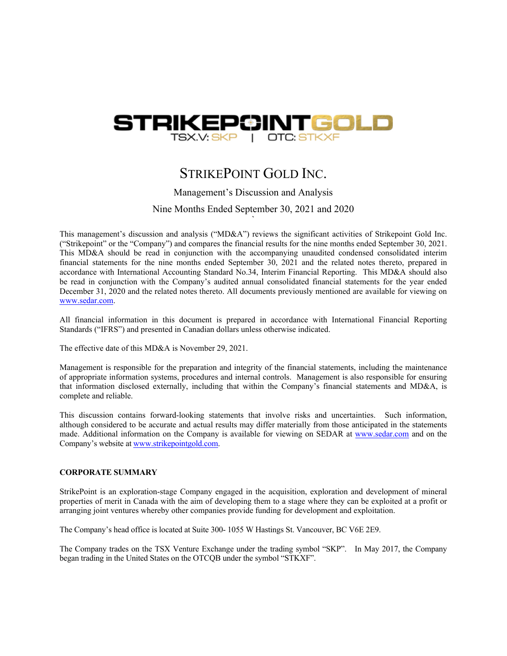

# STRIKEPOINT GOLD INC.

Management's Discussion and Analysis

Nine Months Ended September 30, 2021 and 2020 `

This management's discussion and analysis ("MD&A") reviews the significant activities of Strikepoint Gold Inc. ("Strikepoint" or the "Company") and compares the financial results for the nine months ended September 30, 2021. This MD&A should be read in conjunction with the accompanying unaudited condensed consolidated interim financial statements for the nine months ended September  $30, 2021$  and the related notes thereto, prepared in accordance with International Accounting Standard No.34, Interim Financial Reporting. This MD&A should also be read in conjunction with the Company's audited annual consolidated financial statements for the year ended December 31, 2020 and the related notes thereto. All documents previously mentioned are available for viewing on www.sedar.com.

All financial information in this document is prepared in accordance with International Financial Reporting Standards ("IFRS") and presented in Canadian dollars unless otherwise indicated.

The effective date of this MD&A is November 29, 2021.

Management is responsible for the preparation and integrity of the financial statements, including the maintenance of appropriate information systems, procedures and internal controls. Management is also responsible for ensuring that information disclosed externally, including that within the Company's financial statements and MD&A, is complete and reliable.

This discussion contains forward-looking statements that involve risks and uncertainties. Such information, although considered to be accurate and actual results may differ materially from those anticipated in the statements made. Additional information on the Company is available for viewing on SEDAR at www.sedar.com and on the Company's website at www.strikepointgold.com.

#### **CORPORATE SUMMARY**

StrikePoint is an exploration-stage Company engaged in the acquisition, exploration and development of mineral properties of merit in Canada with the aim of developing them to a stage where they can be exploited at a profit or arranging joint ventures whereby other companies provide funding for development and exploitation.

The Company's head office is located at Suite 300- 1055 W Hastings St. Vancouver, BC V6E 2E9.

The Company trades on the TSX Venture Exchange under the trading symbol "SKP". In May 2017, the Company began trading in the United States on the OTCQB under the symbol "STKXF".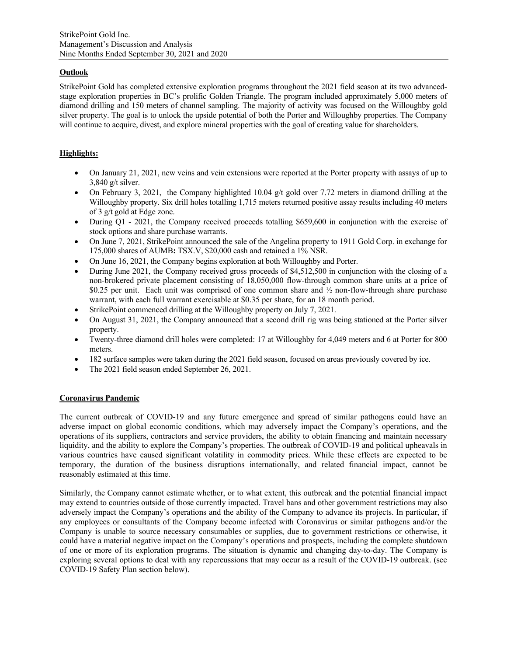# **Outlook**

StrikePoint Gold has completed extensive exploration programs throughout the 2021 field season at its two advancedstage exploration properties in BC's prolific Golden Triangle. The program included approximately 5,000 meters of diamond drilling and 150 meters of channel sampling. The majority of activity was focused on the Willoughby gold silver property. The goal is to unlock the upside potential of both the Porter and Willoughby properties. The Company will continue to acquire, divest, and explore mineral properties with the goal of creating value for shareholders.

# **Highlights:**

- On January 21, 2021, new veins and vein extensions were reported at the Porter property with assays of up to 3,840 g/t silver.
- On February 3, 2021, the Company highlighted 10.04 g/t gold over 7.72 meters in diamond drilling at the Willoughby property. Six drill holes totalling 1,715 meters returned positive assay results including 40 meters of 3 g/t gold at Edge zone.
- During Q1 2021, the Company received proceeds totalling \$659,600 in conjunction with the exercise of stock options and share purchase warrants.
- On June 7, 2021, StrikePoint announced the sale of the Angelina property to 1911 Gold Corp. in exchange for 175,000 shares of AUMB**:** TSX.V, \$20,000 cash and retained a 1% NSR.
- On June 16, 2021, the Company begins exploration at both Willoughby and Porter.
- During June 2021, the Company received gross proceeds of \$4,512,500 in conjunction with the closing of a non-brokered private placement consisting of 18,050,000 flow-through common share units at a price of \$0.25 per unit. Each unit was comprised of one common share and ½ non-flow-through share purchase warrant, with each full warrant exercisable at \$0.35 per share, for an 18 month period.
- StrikePoint commenced drilling at the Willoughby property on July 7, 2021.
- On August 31, 2021, the Company announced that a second drill rig was being stationed at the Porter silver property.
- Twenty-three diamond drill holes were completed: 17 at Willoughby for 4,049 meters and 6 at Porter for 800 meters.
- 182 surface samples were taken during the 2021 field season, focused on areas previously covered by ice.
- The 2021 field season ended September 26, 2021.

# **Coronavirus Pandemic**

The current outbreak of COVID-19 and any future emergence and spread of similar pathogens could have an adverse impact on global economic conditions, which may adversely impact the Company's operations, and the operations of its suppliers, contractors and service providers, the ability to obtain financing and maintain necessary liquidity, and the ability to explore the Company's properties. The outbreak of COVID-19 and political upheavals in various countries have caused significant volatility in commodity prices. While these effects are expected to be temporary, the duration of the business disruptions internationally, and related financial impact, cannot be reasonably estimated at this time.

Similarly, the Company cannot estimate whether, or to what extent, this outbreak and the potential financial impact may extend to countries outside of those currently impacted. Travel bans and other government restrictions may also adversely impact the Company's operations and the ability of the Company to advance its projects. In particular, if any employees or consultants of the Company become infected with Coronavirus or similar pathogens and/or the Company is unable to source necessary consumables or supplies, due to government restrictions or otherwise, it could have a material negative impact on the Company's operations and prospects, including the complete shutdown of one or more of its exploration programs. The situation is dynamic and changing day-to-day. The Company is exploring several options to deal with any repercussions that may occur as a result of the COVID-19 outbreak. (see COVID-19 Safety Plan section below).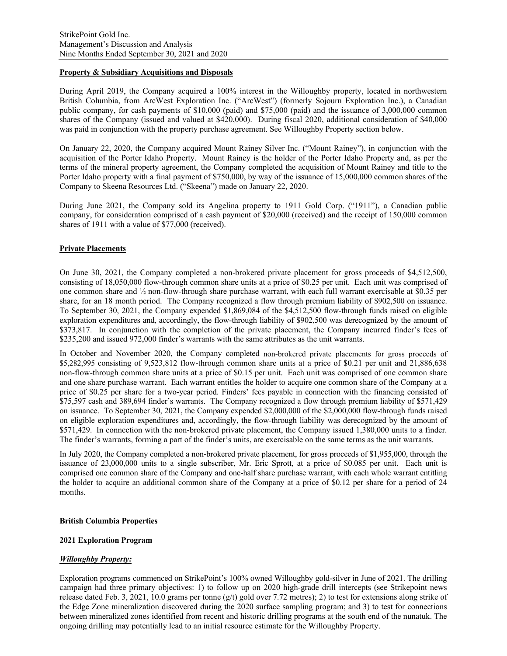## **Property & Subsidiary Acquisitions and Disposals**

During April 2019, the Company acquired a 100% interest in the Willoughby property, located in northwestern British Columbia, from ArcWest Exploration Inc. ("ArcWest") (formerly Sojourn Exploration Inc.), a Canadian public company, for cash payments of \$10,000 (paid) and \$75,000 (paid) and the issuance of 3,000,000 common shares of the Company (issued and valued at \$420,000). During fiscal 2020, additional consideration of \$40,000 was paid in conjunction with the property purchase agreement. See Willoughby Property section below.

On January 22, 2020, the Company acquired Mount Rainey Silver Inc. ("Mount Rainey"), in conjunction with the acquisition of the Porter Idaho Property. Mount Rainey is the holder of the Porter Idaho Property and, as per the terms of the mineral property agreement, the Company completed the acquisition of Mount Rainey and title to the Porter Idaho property with a final payment of \$750,000, by way of the issuance of 15,000,000 common shares of the Company to Skeena Resources Ltd. ("Skeena") made on January 22, 2020.

During June 2021, the Company sold its Angelina property to 1911 Gold Corp. ("1911"), a Canadian public company, for consideration comprised of a cash payment of \$20,000 (received) and the receipt of 150,000 common shares of 1911 with a value of \$77,000 (received).

# **Private Placements**

On June 30, 2021, the Company completed a non-brokered private placement for gross proceeds of \$4,512,500, consisting of 18,050,000 flow-through common share units at a price of \$0.25 per unit. Each unit was comprised of one common share and ½ non-flow-through share purchase warrant, with each full warrant exercisable at \$0.35 per share, for an 18 month period. The Company recognized a flow through premium liability of \$902,500 on issuance. To September 30, 2021, the Company expended \$1,869,084 of the \$4,512,500 flow-through funds raised on eligible exploration expenditures and, accordingly, the flow-through liability of \$902,500 was derecognized by the amount of \$373,817. In conjunction with the completion of the private placement, the Company incurred finder's fees of \$235,200 and issued 972,000 finder's warrants with the same attributes as the unit warrants.

In October and November 2020, the Company completed non-brokered private placements for gross proceeds of \$5,282,995 consisting of 9,523,812 flow-through common share units at a price of \$0.21 per unit and 21,886,638 non-flow-through common share units at a price of \$0.15 per unit. Each unit was comprised of one common share and one share purchase warrant. Each warrant entitles the holder to acquire one common share of the Company at a price of \$0.25 per share for a two-year period. Finders' fees payable in connection with the financing consisted of \$75,597 cash and 389,694 finder's warrants. The Company recognized a flow through premium liability of \$571,429 on issuance. To September 30, 2021, the Company expended \$2,000,000 of the \$2,000,000 flow-through funds raised on eligible exploration expenditures and, accordingly, the flow-through liability was derecognized by the amount of \$571,429. In connection with the non-brokered private placement, the Company issued 1,380,000 units to a finder. The finder's warrants, forming a part of the finder's units, are exercisable on the same terms as the unit warrants.

In July 2020, the Company completed a non-brokered private placement, for gross proceeds of \$1,955,000, through the issuance of 23,000,000 units to a single subscriber, Mr. Eric Sprott, at a price of \$0.085 per unit. Each unit is comprised one common share of the Company and one-half share purchase warrant, with each whole warrant entitling the holder to acquire an additional common share of the Company at a price of \$0.12 per share for a period of 24 months.

#### **British Columbia Properties**

### **2021 Exploration Program**

#### *Willoughby Property:*

Exploration programs commenced on StrikePoint's 100% owned Willoughby gold-silver in June of 2021. The drilling campaign had three primary objectives: 1) to follow up on 2020 high-grade drill intercepts (see Strikepoint news release dated Feb. 3, 2021, 10.0 grams per tonne  $(g/t)$  gold over 7.72 metres); 2) to test for extensions along strike of the Edge Zone mineralization discovered during the 2020 surface sampling program; and 3) to test for connections between mineralized zones identified from recent and historic drilling programs at the south end of the nunatuk. The ongoing drilling may potentially lead to an initial resource estimate for the Willoughby Property.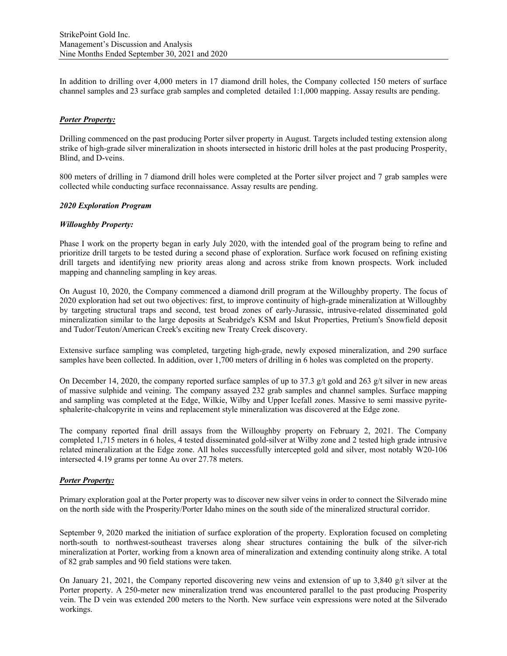In addition to drilling over 4,000 meters in 17 diamond drill holes, the Company collected 150 meters of surface channel samples and 23 surface grab samples and completed detailed 1:1,000 mapping. Assay results are pending.

## *Porter Property:*

Drilling commenced on the past producing Porter silver property in August. Targets included testing extension along strike of high-grade silver mineralization in shoots intersected in historic drill holes at the past producing Prosperity, Blind, and D-veins.

800 meters of drilling in 7 diamond drill holes were completed at the Porter silver project and 7 grab samples were collected while conducting surface reconnaissance. Assay results are pending.

#### *2020 Exploration Program*

## *Willoughby Property:*

Phase I work on the property began in early July 2020, with the intended goal of the program being to refine and prioritize drill targets to be tested during a second phase of exploration. Surface work focused on refining existing drill targets and identifying new priority areas along and across strike from known prospects. Work included mapping and channeling sampling in key areas.

On August 10, 2020, the Company commenced a diamond drill program at the Willoughby property. The focus of 2020 exploration had set out two objectives: first, to improve continuity of high-grade mineralization at Willoughby by targeting structural traps and second, test broad zones of early-Jurassic, intrusive-related disseminated gold mineralization similar to the large deposits at Seabridge's KSM and Iskut Properties, Pretium's Snowfield deposit and Tudor/Teuton/American Creek's exciting new Treaty Creek discovery.

Extensive surface sampling was completed, targeting high-grade, newly exposed mineralization, and 290 surface samples have been collected. In addition, over 1,700 meters of drilling in 6 holes was completed on the property.

On December 14, 2020, the company reported surface samples of up to 37.3 g/t gold and 263 g/t silver in new areas of massive sulphide and veining. The company assayed 232 grab samples and channel samples. Surface mapping and sampling was completed at the Edge, Wilkie, Wilby and Upper Icefall zones. Massive to semi massive pyritesphalerite-chalcopyrite in veins and replacement style mineralization was discovered at the Edge zone.

The company reported final drill assays from the Willoughby property on February 2, 2021. The Company completed 1,715 meters in 6 holes, 4 tested disseminated gold-silver at Wilby zone and 2 tested high grade intrusive related mineralization at the Edge zone. All holes successfully intercepted gold and silver, most notably W20-106 intersected 4.19 grams per tonne Au over 27.78 meters.

# *Porter Property:*

Primary exploration goal at the Porter property was to discover new silver veins in order to connect the Silverado mine on the north side with the Prosperity/Porter Idaho mines on the south side of the mineralized structural corridor.

September 9, 2020 marked the initiation of surface exploration of the property. Exploration focused on completing north-south to northwest-southeast traverses along shear structures containing the bulk of the silver-rich mineralization at Porter, working from a known area of mineralization and extending continuity along strike. A total of 82 grab samples and 90 field stations were taken.

On January 21, 2021, the Company reported discovering new veins and extension of up to 3,840 g/t silver at the Porter property. A 250-meter new mineralization trend was encountered parallel to the past producing Prosperity vein. The D vein was extended 200 meters to the North. New surface vein expressions were noted at the Silverado workings.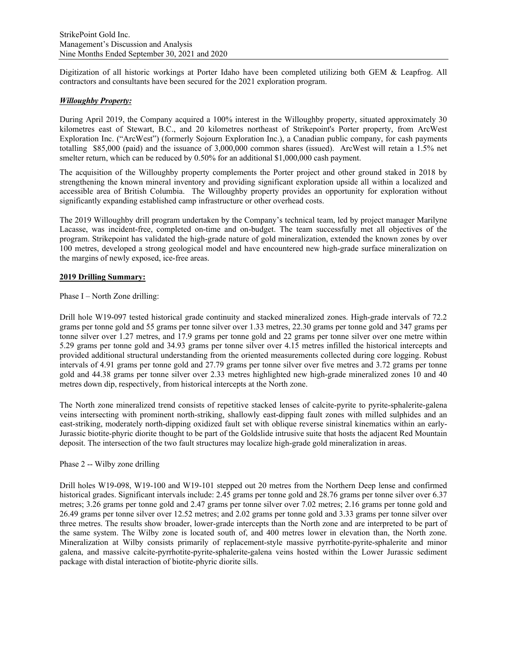Digitization of all historic workings at Porter Idaho have been completed utilizing both GEM & Leapfrog. All contractors and consultants have been secured for the 2021 exploration program.

## *Willoughby Property:*

During April 2019, the Company acquired a 100% interest in the Willoughby property, situated approximately 30 kilometres east of Stewart, B.C., and 20 kilometres northeast of Strikepoint's Porter property, from ArcWest Exploration Inc. ("ArcWest") (formerly Sojourn Exploration Inc.), a Canadian public company, for cash payments totalling \$85,000 (paid) and the issuance of 3,000,000 common shares (issued). ArcWest will retain a 1.5% net smelter return, which can be reduced by 0.50% for an additional \$1,000,000 cash payment.

The acquisition of the Willoughby property complements the Porter project and other ground staked in 2018 by strengthening the known mineral inventory and providing significant exploration upside all within a localized and accessible area of British Columbia. The Willoughby property provides an opportunity for exploration without significantly expanding established camp infrastructure or other overhead costs.

The 2019 Willoughby drill program undertaken by the Company's technical team, led by project manager Marilyne Lacasse, was incident-free, completed on-time and on-budget. The team successfully met all objectives of the program. Strikepoint has validated the high-grade nature of gold mineralization, extended the known zones by over 100 metres, developed a strong geological model and have encountered new high-grade surface mineralization on the margins of newly exposed, ice-free areas.

#### **2019 Drilling Summary:**

## Phase I – North Zone drilling:

Drill hole W19-097 tested historical grade continuity and stacked mineralized zones. High-grade intervals of 72.2 grams per tonne gold and 55 grams per tonne silver over 1.33 metres, 22.30 grams per tonne gold and 347 grams per tonne silver over 1.27 metres, and 17.9 grams per tonne gold and 22 grams per tonne silver over one metre within 5.29 grams per tonne gold and 34.93 grams per tonne silver over 4.15 metres infilled the historical intercepts and provided additional structural understanding from the oriented measurements collected during core logging. Robust intervals of 4.91 grams per tonne gold and 27.79 grams per tonne silver over five metres and 3.72 grams per tonne gold and 44.38 grams per tonne silver over 2.33 metres highlighted new high-grade mineralized zones 10 and 40 metres down dip, respectively, from historical intercepts at the North zone.

The North zone mineralized trend consists of repetitive stacked lenses of calcite-pyrite to pyrite-sphalerite-galena veins intersecting with prominent north-striking, shallowly east-dipping fault zones with milled sulphides and an east-striking, moderately north-dipping oxidized fault set with oblique reverse sinistral kinematics within an early-Jurassic biotite-phyric diorite thought to be part of the Goldslide intrusive suite that hosts the adjacent Red Mountain deposit. The intersection of the two fault structures may localize high-grade gold mineralization in areas.

# Phase 2 -- Wilby zone drilling

Drill holes W19-098, W19-100 and W19-101 stepped out 20 metres from the Northern Deep lense and confirmed historical grades. Significant intervals include: 2.45 grams per tonne gold and 28.76 grams per tonne silver over 6.37 metres; 3.26 grams per tonne gold and 2.47 grams per tonne silver over 7.02 metres; 2.16 grams per tonne gold and 26.49 grams per tonne silver over 12.52 metres; and 2.02 grams per tonne gold and 3.33 grams per tonne silver over three metres. The results show broader, lower-grade intercepts than the North zone and are interpreted to be part of the same system. The Wilby zone is located south of, and 400 metres lower in elevation than, the North zone. Mineralization at Wilby consists primarily of replacement-style massive pyrrhotite-pyrite-sphalerite and minor galena, and massive calcite-pyrrhotite-pyrite-sphalerite-galena veins hosted within the Lower Jurassic sediment package with distal interaction of biotite-phyric diorite sills.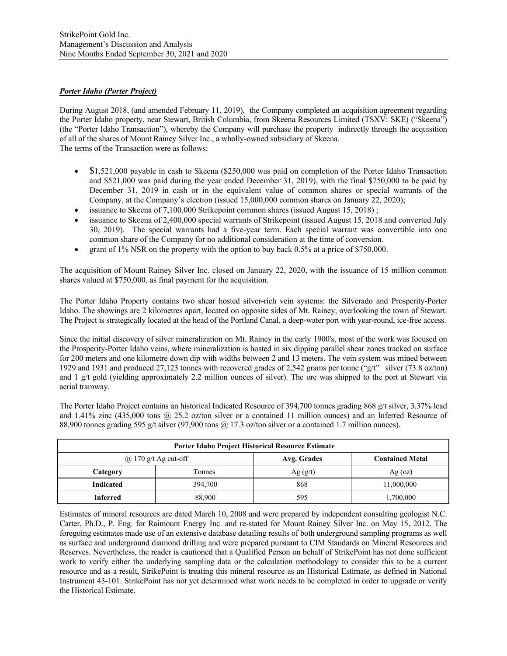# *Porter Idaho (Porter Project)*

During August 2018, (and amended February 11, 2019), the Company completed an acquisition agreement regarding the Porter Idaho property, near Stewart, British Columbia, from Skeena Resources Limited (TSXV: SKE) ("Skeena") (the "Porter Idaho Transaction"), whereby the Company will purchase the property indirectly through the acquisition of all of the shares of Mount Rainey Silver Inc., a wholly-owned subsidiary of Skeena. The terms of the Transaction were as follows:

- \$1,521,000 payable in cash to Skeena (\$250,000 was paid on completion of the Porter Idaho Transaction and \$521,000 was paid during the year ended December 31, 2019), with the final \$750,000 to be paid by December 31, 2019 in cash or in the equivalent value of common shares or special warrants of the Company, at the Company's election (issued 15,000,000 common shares on January 22, 2020);
- issuance to Skeena of 7,100,000 Strikepoint common shares (issued August 15, 2018) ;
- issuance to Skeena of 2,400,000 special warrants of Strikepoint (issued August 15, 2018 and converted July 30, 2019). The special warrants had a five-year term. Each special warrant was convertible into one common share of the Company for no additional consideration at the time of conversion.
- grant of 1% NSR on the property with the option to buy back 0.5% at a price of \$750,000.

The acquisition of Mount Rainey Silver Inc. closed on January 22, 2020, with the issuance of 15 million common shares valued at \$750,000, as final payment for the acquisition.

The Porter Idaho Property contains two shear hosted silver-rich vein systems: the Silverado and Prosperity-Porter Idaho. The showings are 2 kilometres apart, located on opposite sides of Mt. Rainey, overlooking the town of Stewart. The Project is strategically located at the head of the Portland Canal, a deep-water port with year-round, ice-free access.

Since the initial discovery of silver mineralization on Mt. Rainey in the early 1900's, most of the work was focused on the Prosperity-Porter Idaho veins, where mineralization is hosted in six dipping parallel shear zones tracked on surface for 200 meters and one kilometre down dip with widths between 2 and 13 meters. The vein system was mined between 1929 and 1931 and produced 27,123 tonnes with recovered grades of 2,542 grams per tonne ("g/t"\_ silver (73.8 oz/ton) and 1 g/t gold (yielding approximately 2.2 million ounces of silver). The ore was shipped to the port at Stewart via aerial tramway.

The Porter Idaho Project contains an historical Indicated Resource of 394,700 tonnes grading 868 g/t silver, 3.37% lead and 1.41% zinc (435,000 tons @ 25.2 oz/ton silver or a contained 11 million ounces) and an Inferred Resource of 88,900 tonnes grading 595 g/t silver (97,900 tons  $\omega$  17.3 oz/ton silver or a contained 1.7 million ounces).

| <b>Porter Idaho Project Historical Resource Estimate</b> |               |             |                        |  |  |  |  |
|----------------------------------------------------------|---------------|-------------|------------------------|--|--|--|--|
| $\omega$ 170 g/t Ag cut-off                              |               | Avg. Grades | <b>Contained Metal</b> |  |  |  |  |
| Category                                                 | <b>Tonnes</b> | Ag(g/t)     | $Ag$ (oz)              |  |  |  |  |
| <b>Indicated</b>                                         | 394,700       | 868         | 1,000,000              |  |  |  |  |
| Inferred                                                 | 88,900        | 595         | 1,700,000              |  |  |  |  |

Estimates of mineral resources are dated March 10, 2008 and were prepared by independent consulting geologist N.C. Carter, Ph.D., P. Eng. for Raimount Energy Inc. and re-stated for Mount Rainey Silver Inc. on May 15, 2012. The foregoing estimates made use of an extensive database detailing results of both underground sampling programs as well as surface and underground diamond drilling and were prepared pursuant to CIM Standards on Mineral Resources and Reserves. Nevertheless, the reader is cautioned that a Qualified Person on behalf of StrikePoint has not done sufficient work to verify either the underlying sampling data or the calculation methodology to consider this to be a current resource and as a result, StrikePoint is treating this mineral resource as an Historical Estimate, as defined in National Instrument 43-101. StrikePoint has not yet determined what work needs to be completed in order to upgrade or verify the Historical Estimate.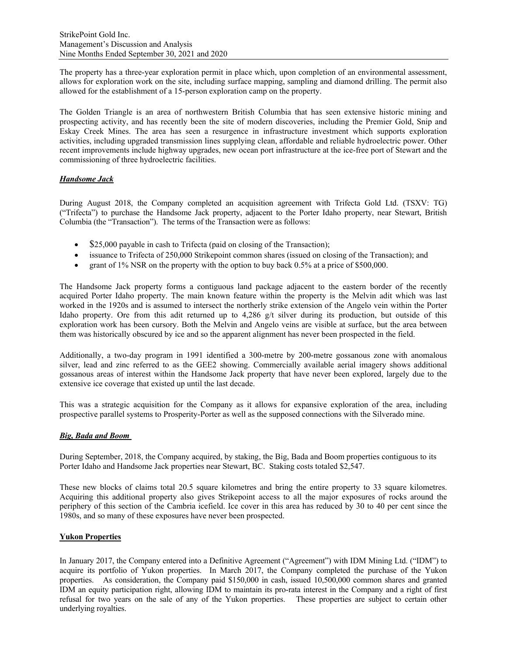The property has a three-year exploration permit in place which, upon completion of an environmental assessment, allows for exploration work on the site, including surface mapping, sampling and diamond drilling. The permit also allowed for the establishment of a 15-person exploration camp on the property.

The Golden Triangle is an area of northwestern British Columbia that has seen extensive historic mining and prospecting activity, and has recently been the site of modern discoveries, including the Premier Gold, Snip and Eskay Creek Mines. The area has seen a resurgence in infrastructure investment which supports exploration activities, including upgraded transmission lines supplying clean, affordable and reliable hydroelectric power. Other recent improvements include highway upgrades, new ocean port infrastructure at the ice-free port of Stewart and the commissioning of three hydroelectric facilities.

# *Handsome Jack*

During August 2018, the Company completed an acquisition agreement with Trifecta Gold Ltd. (TSXV: TG) ("Trifecta") to purchase the Handsome Jack property, adjacent to the Porter Idaho property, near Stewart, British Columbia (the "Transaction"). The terms of the Transaction were as follows:

- $\bullet$  \$25,000 payable in cash to Trifecta (paid on closing of the Transaction);
- issuance to Trifecta of 250,000 Strikepoint common shares (issued on closing of the Transaction); and
- grant of 1% NSR on the property with the option to buy back 0.5% at a price of \$500,000.

The Handsome Jack property forms a contiguous land package adjacent to the eastern border of the recently acquired Porter Idaho property. The main known feature within the property is the Melvin adit which was last worked in the 1920s and is assumed to intersect the northerly strike extension of the Angelo vein within the Porter Idaho property. Ore from this adit returned up to  $4,286$  g/t silver during its production, but outside of this exploration work has been cursory. Both the Melvin and Angelo veins are visible at surface, but the area between them was historically obscured by ice and so the apparent alignment has never been prospected in the field.

Additionally, a two-day program in 1991 identified a 300-metre by 200-metre gossanous zone with anomalous silver, lead and zinc referred to as the GEE2 showing. Commercially available aerial imagery shows additional gossanous areas of interest within the Handsome Jack property that have never been explored, largely due to the extensive ice coverage that existed up until the last decade.

This was a strategic acquisition for the Company as it allows for expansive exploration of the area, including prospective parallel systems to Prosperity-Porter as well as the supposed connections with the Silverado mine.

# *Big, Bada and Boom*

During September, 2018, the Company acquired, by staking, the Big, Bada and Boom properties contiguous to its Porter Idaho and Handsome Jack properties near Stewart, BC. Staking costs totaled \$2,547.

These new blocks of claims total 20.5 square kilometres and bring the entire property to 33 square kilometres. Acquiring this additional property also gives Strikepoint access to all the major exposures of rocks around the periphery of this section of the Cambria icefield. Ice cover in this area has reduced by 30 to 40 per cent since the 1980s, and so many of these exposures have never been prospected.

# **Yukon Properties**

In January 2017, the Company entered into a Definitive Agreement ("Agreement") with IDM Mining Ltd. ("IDM") to acquire its portfolio of Yukon properties. In March 2017, the Company completed the purchase of the Yukon properties. As consideration, the Company paid \$150,000 in cash, issued 10,500,000 common shares and granted IDM an equity participation right, allowing IDM to maintain its pro-rata interest in the Company and a right of first refusal for two years on the sale of any of the Yukon properties. These properties are subject to certain other underlying royalties.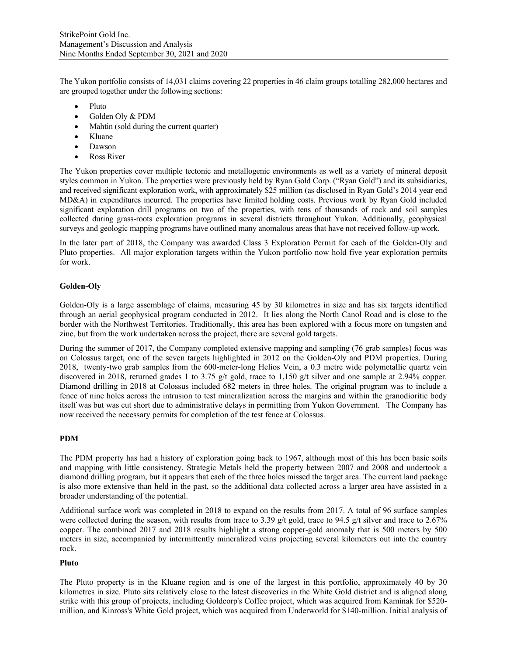The Yukon portfolio consists of 14,031 claims covering 22 properties in 46 claim groups totalling 282,000 hectares and are grouped together under the following sections:

- Pluto
- Golden Oly & PDM
- Mahtin (sold during the current quarter)
- Kluane
- Dawson
- Ross River

The Yukon properties cover multiple tectonic and metallogenic environments as well as a variety of mineral deposit styles common in Yukon. The properties were previously held by Ryan Gold Corp. ("Ryan Gold") and its subsidiaries, and received significant exploration work, with approximately \$25 million (as disclosed in Ryan Gold's 2014 year end MD&A) in expenditures incurred. The properties have limited holding costs. Previous work by Ryan Gold included significant exploration drill programs on two of the properties, with tens of thousands of rock and soil samples collected during grass-roots exploration programs in several districts throughout Yukon. Additionally, geophysical surveys and geologic mapping programs have outlined many anomalous areas that have not received follow-up work.

In the later part of 2018, the Company was awarded Class 3 Exploration Permit for each of the Golden-Oly and Pluto properties. All major exploration targets within the Yukon portfolio now hold five year exploration permits for work.

# **Golden-Oly**

Golden-Oly is a large assemblage of claims, measuring 45 by 30 kilometres in size and has six targets identified through an aerial geophysical program conducted in 2012. It lies along the North Canol Road and is close to the border with the Northwest Territories. Traditionally, this area has been explored with a focus more on tungsten and zinc, but from the work undertaken across the project, there are several gold targets.

During the summer of 2017, the Company completed extensive mapping and sampling (76 grab samples) focus was on Colossus target, one of the seven targets highlighted in 2012 on the Golden-Oly and PDM properties. During 2018, twenty-two grab samples from the 600-meter-long Helios Vein, a 0.3 metre wide polymetallic quartz vein discovered in 2018, returned grades 1 to 3.75 g/t gold, trace to 1,150 g/t silver and one sample at 2.94% copper. Diamond drilling in 2018 at Colossus included 682 meters in three holes. The original program was to include a fence of nine holes across the intrusion to test mineralization across the margins and within the granodioritic body itself was but was cut short due to administrative delays in permitting from Yukon Government. The Company has now received the necessary permits for completion of the test fence at Colossus.

# **PDM**

The PDM property has had a history of exploration going back to 1967, although most of this has been basic soils and mapping with little consistency. Strategic Metals held the property between 2007 and 2008 and undertook a diamond drilling program, but it appears that each of the three holes missed the target area. The current land package is also more extensive than held in the past, so the additional data collected across a larger area have assisted in a broader understanding of the potential.

Additional surface work was completed in 2018 to expand on the results from 2017. A total of 96 surface samples were collected during the season, with results from trace to 3.39 g/t gold, trace to 94.5 g/t silver and trace to 2.67% copper. The combined 2017 and 2018 results highlight a strong copper-gold anomaly that is 500 meters by 500 meters in size, accompanied by intermittently mineralized veins projecting several kilometers out into the country rock.

#### **Pluto**

The Pluto property is in the Kluane region and is one of the largest in this portfolio, approximately 40 by 30 kilometres in size. Pluto sits relatively close to the latest discoveries in the White Gold district and is aligned along strike with this group of projects, including Goldcorp's Coffee project, which was acquired from Kaminak for \$520 million, and Kinross's White Gold project, which was acquired from Underworld for \$140-million. Initial analysis of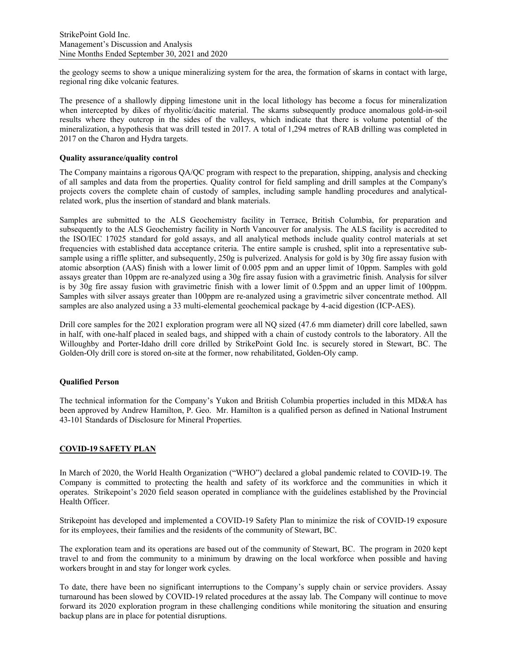the geology seems to show a unique mineralizing system for the area, the formation of skarns in contact with large, regional ring dike volcanic features.

The presence of a shallowly dipping limestone unit in the local lithology has become a focus for mineralization when intercepted by dikes of rhyolitic/dacitic material. The skarns subsequently produce anomalous gold-in-soil results where they outcrop in the sides of the valleys, which indicate that there is volume potential of the mineralization, a hypothesis that was drill tested in 2017. A total of 1,294 metres of RAB drilling was completed in 2017 on the Charon and Hydra targets.

## **Quality assurance/quality control**

The Company maintains a rigorous QA/QC program with respect to the preparation, shipping, analysis and checking of all samples and data from the properties. Quality control for field sampling and drill samples at the Company's projects covers the complete chain of custody of samples, including sample handling procedures and analyticalrelated work, plus the insertion of standard and blank materials.

Samples are submitted to the ALS Geochemistry facility in Terrace, British Columbia, for preparation and subsequently to the ALS Geochemistry facility in North Vancouver for analysis. The ALS facility is accredited to the ISO/IEC 17025 standard for gold assays, and all analytical methods include quality control materials at set frequencies with established data acceptance criteria. The entire sample is crushed, split into a representative subsample using a riffle splitter, and subsequently, 250g is pulverized. Analysis for gold is by 30g fire assay fusion with atomic absorption (AAS) finish with a lower limit of 0.005 ppm and an upper limit of 10ppm. Samples with gold assays greater than 10ppm are re-analyzed using a 30g fire assay fusion with a gravimetric finish. Analysis for silver is by 30g fire assay fusion with gravimetric finish with a lower limit of 0.5ppm and an upper limit of 100ppm. Samples with silver assays greater than 100ppm are re-analyzed using a gravimetric silver concentrate method. All samples are also analyzed using a 33 multi-elemental geochemical package by 4-acid digestion (ICP-AES).

Drill core samples for the 2021 exploration program were all NQ sized (47.6 mm diameter) drill core labelled, sawn in half, with one-half placed in sealed bags, and shipped with a chain of custody controls to the laboratory. All the Willoughby and Porter-Idaho drill core drilled by StrikePoint Gold Inc. is securely stored in Stewart, BC. The Golden-Oly drill core is stored on-site at the former, now rehabilitated, Golden-Oly camp.

#### **Qualified Person**

The technical information for the Company's Yukon and British Columbia properties included in this MD&A has been approved by Andrew Hamilton, P. Geo. Mr. Hamilton is a qualified person as defined in National Instrument 43-101 Standards of Disclosure for Mineral Properties.

# **COVID-19 SAFETY PLAN**

In March of 2020, the World Health Organization ("WHO") declared a global pandemic related to COVID-19. The Company is committed to protecting the health and safety of its workforce and the communities in which it operates. Strikepoint's 2020 field season operated in compliance with the guidelines established by the Provincial Health Officer.

Strikepoint has developed and implemented a COVID-19 Safety Plan to minimize the risk of COVID-19 exposure for its employees, their families and the residents of the community of Stewart, BC.

The exploration team and its operations are based out of the community of Stewart, BC. The program in 2020 kept travel to and from the community to a minimum by drawing on the local workforce when possible and having workers brought in and stay for longer work cycles.

To date, there have been no significant interruptions to the Company's supply chain or service providers. Assay turnaround has been slowed by COVID-19 related procedures at the assay lab. The Company will continue to move forward its 2020 exploration program in these challenging conditions while monitoring the situation and ensuring backup plans are in place for potential disruptions.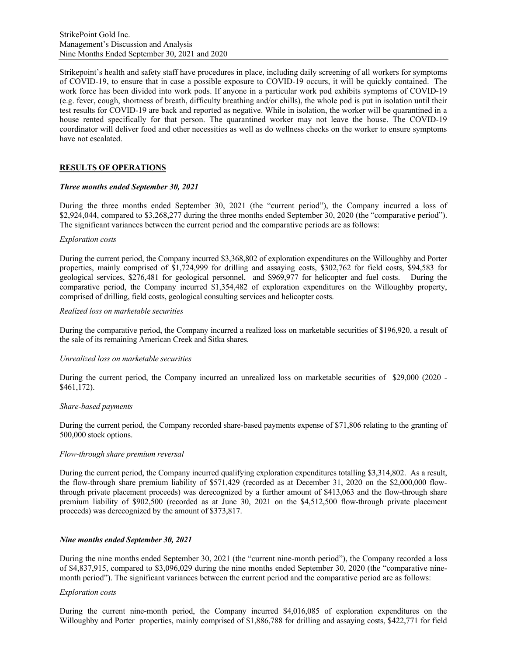Strikepoint's health and safety staff have procedures in place, including daily screening of all workers for symptoms of COVID-19, to ensure that in case a possible exposure to COVID-19 occurs, it will be quickly contained. The work force has been divided into work pods. If anyone in a particular work pod exhibits symptoms of COVID-19 (e.g. fever, cough, shortness of breath, difficulty breathing and/or chills), the whole pod is put in isolation until their test results for COVID-19 are back and reported as negative. While in isolation, the worker will be quarantined in a house rented specifically for that person. The quarantined worker may not leave the house. The COVID-19 coordinator will deliver food and other necessities as well as do wellness checks on the worker to ensure symptoms have not escalated.

# **RESULTS OF OPERATIONS**

## *Three months ended September 30, 2021*

During the three months ended September 30, 2021 (the "current period"), the Company incurred a loss of \$2,924,044, compared to \$3,268,277 during the three months ended September 30, 2020 (the "comparative period"). The significant variances between the current period and the comparative periods are as follows:

## *Exploration costs*

During the current period, the Company incurred \$3,368,802 of exploration expenditures on the Willoughby and Porter properties, mainly comprised of \$1,724,999 for drilling and assaying costs, \$302,762 for field costs, \$94,583 for geological services, \$276,481 for geological personnel, and \$969,977 for helicopter and fuel costs. During the comparative period, the Company incurred \$1,354,482 of exploration expenditures on the Willoughby property, comprised of drilling, field costs, geological consulting services and helicopter costs.

## *Realized loss on marketable securities*

During the comparative period, the Company incurred a realized loss on marketable securities of \$196,920, a result of the sale of its remaining American Creek and Sitka shares.

#### *Unrealized loss on marketable securities*

During the current period, the Company incurred an unrealized loss on marketable securities of \$29,000 (2020 - \$461,172).

#### *Share-based payments*

During the current period, the Company recorded share-based payments expense of \$71,806 relating to the granting of 500,000 stock options.

#### *Flow-through share premium reversal*

During the current period, the Company incurred qualifying exploration expenditures totalling \$3,314,802. As a result, the flow-through share premium liability of \$571,429 (recorded as at December 31, 2020 on the \$2,000,000 flowthrough private placement proceeds) was derecognized by a further amount of \$413,063 and the flow-through share premium liability of \$902,500 (recorded as at June 30, 2021 on the \$4,512,500 flow-through private placement proceeds) was derecognized by the amount of \$373,817.

#### *Nine months ended September 30, 2021*

During the nine months ended September 30, 2021 (the "current nine-month period"), the Company recorded a loss of \$4,837,915, compared to \$3,096,029 during the nine months ended September 30, 2020 (the "comparative ninemonth period"). The significant variances between the current period and the comparative period are as follows:

#### *Exploration costs*

During the current nine-month period, the Company incurred \$4,016,085 of exploration expenditures on the Willoughby and Porter properties, mainly comprised of \$1,886,788 for drilling and assaying costs, \$422,771 for field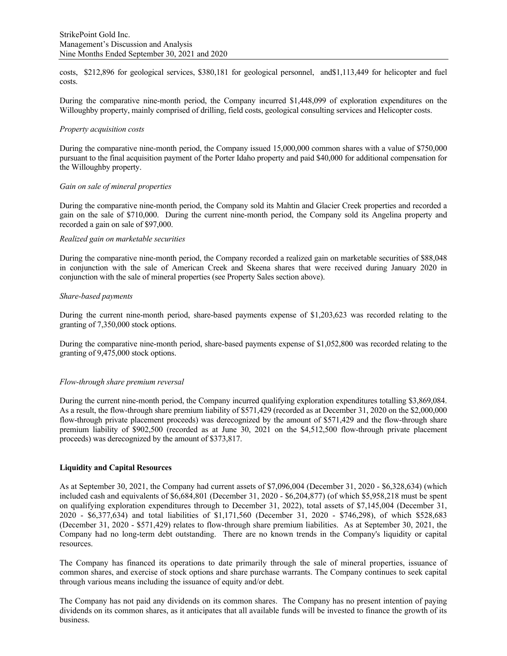costs, \$212,896 for geological services, \$380,181 for geological personnel, and\$1,113,449 for helicopter and fuel costs.

During the comparative nine-month period, the Company incurred \$1,448,099 of exploration expenditures on the Willoughby property, mainly comprised of drilling, field costs, geological consulting services and Helicopter costs.

#### *Property acquisition costs*

During the comparative nine-month period, the Company issued 15,000,000 common shares with a value of \$750,000 pursuant to the final acquisition payment of the Porter Idaho property and paid \$40,000 for additional compensation for the Willoughby property.

## *Gain on sale of mineral properties*

During the comparative nine-month period, the Company sold its Mahtin and Glacier Creek properties and recorded a gain on the sale of \$710,000. During the current nine-month period, the Company sold its Angelina property and recorded a gain on sale of \$97,000.

#### *Realized gain on marketable securities*

During the comparative nine-month period, the Company recorded a realized gain on marketable securities of \$88,048 in conjunction with the sale of American Creek and Skeena shares that were received during January 2020 in conjunction with the sale of mineral properties (see Property Sales section above).

## *Share-based payments*

During the current nine-month period, share-based payments expense of \$1,203,623 was recorded relating to the granting of 7,350,000 stock options.

During the comparative nine-month period, share-based payments expense of \$1,052,800 was recorded relating to the granting of 9,475,000 stock options.

## *Flow-through share premium reversal*

During the current nine-month period, the Company incurred qualifying exploration expenditures totalling \$3,869,084. As a result, the flow-through share premium liability of \$571,429 (recorded as at December 31, 2020 on the \$2,000,000 flow-through private placement proceeds) was derecognized by the amount of \$571,429 and the flow-through share premium liability of \$902,500 (recorded as at June 30, 2021 on the \$4,512,500 flow-through private placement proceeds) was derecognized by the amount of \$373,817.

#### **Liquidity and Capital Resources**

As at September 30, 2021, the Company had current assets of \$7,096,004 (December 31, 2020 - \$6,328,634) (which included cash and equivalents of \$6,684,801 (December 31, 2020 - \$6,204,877) (of which \$5,958,218 must be spent on qualifying exploration expenditures through to December 31, 2022), total assets of \$7,145,004 (December 31, 2020 - \$6,377,634) and total liabilities of \$1,171,560 (December 31, 2020 - \$746,298), of which \$528,683 (December 31, 2020 - \$571,429) relates to flow-through share premium liabilities. As at September 30, 2021, the Company had no long-term debt outstanding. There are no known trends in the Company's liquidity or capital resources.

The Company has financed its operations to date primarily through the sale of mineral properties, issuance of common shares, and exercise of stock options and share purchase warrants. The Company continues to seek capital through various means including the issuance of equity and/or debt.

The Company has not paid any dividends on its common shares. The Company has no present intention of paying dividends on its common shares, as it anticipates that all available funds will be invested to finance the growth of its business.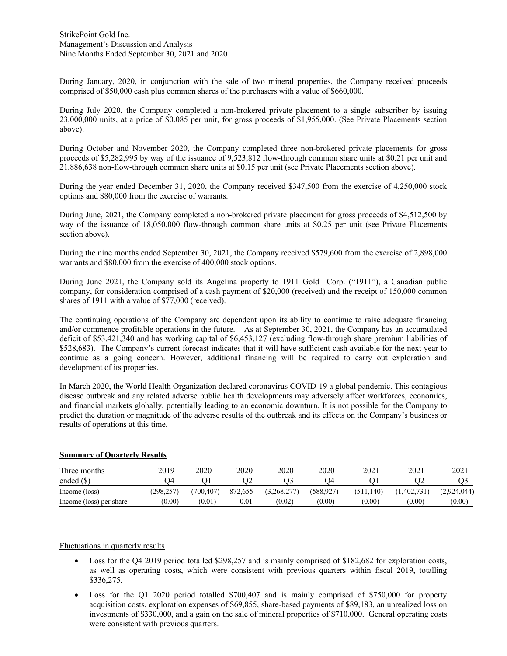During January, 2020, in conjunction with the sale of two mineral properties, the Company received proceeds comprised of \$50,000 cash plus common shares of the purchasers with a value of \$660,000.

During July 2020, the Company completed a non-brokered private placement to a single subscriber by issuing 23,000,000 units, at a price of \$0.085 per unit, for gross proceeds of \$1,955,000. (See Private Placements section above).

During October and November 2020, the Company completed three non-brokered private placements for gross proceeds of \$5,282,995 by way of the issuance of 9,523,812 flow-through common share units at \$0.21 per unit and 21,886,638 non-flow-through common share units at \$0.15 per unit (see Private Placements section above).

During the year ended December 31, 2020, the Company received \$347,500 from the exercise of 4,250,000 stock options and \$80,000 from the exercise of warrants.

During June, 2021, the Company completed a non-brokered private placement for gross proceeds of \$4,512,500 by way of the issuance of 18,050,000 flow-through common share units at \$0.25 per unit (see Private Placements section above).

During the nine months ended September 30, 2021, the Company received \$579,600 from the exercise of 2,898,000 warrants and \$80,000 from the exercise of 400,000 stock options.

During June 2021, the Company sold its Angelina property to 1911 Gold Corp. ("1911"), a Canadian public company, for consideration comprised of a cash payment of \$20,000 (received) and the receipt of 150,000 common shares of 1911 with a value of \$77,000 (received).

The continuing operations of the Company are dependent upon its ability to continue to raise adequate financing and/or commence profitable operations in the future. As at September 30, 2021, the Company has an accumulated deficit of \$53,421,340 and has working capital of \$6,453,127 (excluding flow-through share premium liabilities of \$528,683). The Company's current forecast indicates that it will have sufficient cash available for the next year to continue as a going concern. However, additional financing will be required to carry out exploration and development of its properties.

In March 2020, the World Health Organization declared coronavirus COVID-19 a global pandemic. This contagious disease outbreak and any related adverse public health developments may adversely affect workforces, economies, and financial markets globally, potentially leading to an economic downturn. It is not possible for the Company to predict the duration or magnitude of the adverse results of the outbreak and its effects on the Company's business or results of operations at this time.

#### **Summary of Quarterly Results**

| Three months            | 2019    | 2020      | 2020       | 2020        | 2020      | 2021       | 2021      | 2021        |
|-------------------------|---------|-----------|------------|-------------|-----------|------------|-----------|-------------|
| ended $(S)$             |         |           | JZ         |             | 74        |            |           |             |
| Income (loss)           | 298.257 | (700.407) | 872,655    | (3,268,277) | (588.927) | (511, 140) | 1,402,731 | (2,924,044) |
| Income (loss) per share | (0.00)  | 0.01      | $\rm 0.01$ | (0.02)      | (0.00)    | (0.00)     | (0.00)    | (0.00)      |

# Fluctuations in quarterly results

- Loss for the Q4 2019 period totalled \$298,257 and is mainly comprised of \$182,682 for exploration costs, as well as operating costs, which were consistent with previous quarters within fiscal 2019, totalling \$336,275.
- Loss for the Q1 2020 period totalled \$700,407 and is mainly comprised of \$750,000 for property acquisition costs, exploration expenses of \$69,855, share-based payments of \$89,183, an unrealized loss on investments of \$330,000, and a gain on the sale of mineral properties of \$710,000. General operating costs were consistent with previous quarters.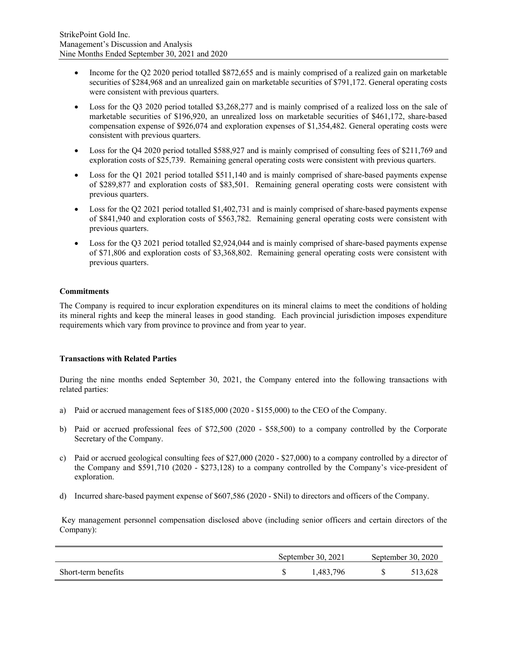- Income for the Q2 2020 period totalled \$872,655 and is mainly comprised of a realized gain on marketable securities of \$284,968 and an unrealized gain on marketable securities of \$791,172. General operating costs were consistent with previous quarters.
- Loss for the Q3 2020 period totalled \$3,268,277 and is mainly comprised of a realized loss on the sale of marketable securities of \$196,920, an unrealized loss on marketable securities of \$461,172, share-based compensation expense of \$926,074 and exploration expenses of \$1,354,482. General operating costs were consistent with previous quarters.
- Loss for the Q4 2020 period totalled \$588,927 and is mainly comprised of consulting fees of \$211,769 and exploration costs of \$25,739. Remaining general operating costs were consistent with previous quarters.
- Loss for the Q1 2021 period totalled \$511,140 and is mainly comprised of share-based payments expense of \$289,877 and exploration costs of \$83,501. Remaining general operating costs were consistent with previous quarters.
- Loss for the Q2 2021 period totalled \$1,402,731 and is mainly comprised of share-based payments expense of \$841,940 and exploration costs of \$563,782. Remaining general operating costs were consistent with previous quarters.
- Loss for the Q3 2021 period totalled \$2,924,044 and is mainly comprised of share-based payments expense of \$71,806 and exploration costs of \$3,368,802. Remaining general operating costs were consistent with previous quarters.

# **Commitments**

The Company is required to incur exploration expenditures on its mineral claims to meet the conditions of holding its mineral rights and keep the mineral leases in good standing. Each provincial jurisdiction imposes expenditure requirements which vary from province to province and from year to year.

# **Transactions with Related Parties**

During the nine months ended September 30, 2021, the Company entered into the following transactions with related parties:

- a) Paid or accrued management fees of \$185,000 (2020 \$155,000) to the CEO of the Company.
- b) Paid or accrued professional fees of \$72,500 (2020 \$58,500) to a company controlled by the Corporate Secretary of the Company.
- c) Paid or accrued geological consulting fees of \$27,000 (2020 \$27,000) to a company controlled by a director of the Company and \$591,710 (2020 - \$273,128) to a company controlled by the Company's vice-president of exploration.
- d) Incurred share-based payment expense of \$607,586 (2020 \$Nil) to directors and officers of the Company.

 Key management personnel compensation disclosed above (including senior officers and certain directors of the Company):

|                     | September 30, 2021 | September 30, 2020 |         |  |
|---------------------|--------------------|--------------------|---------|--|
| Short-term benefits | 1.483.796          | $\mathcal{S}$      | 513.628 |  |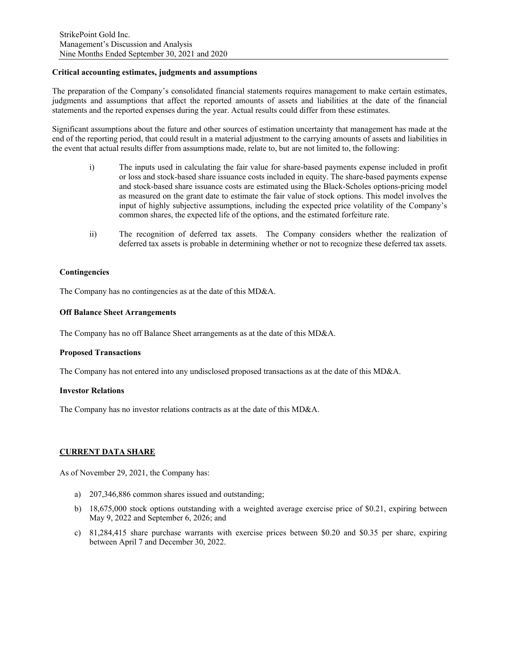## **Critical accounting estimates, judgments and assumptions**

The preparation of the Company's consolidated financial statements requires management to make certain estimates, judgments and assumptions that affect the reported amounts of assets and liabilities at the date of the financial statements and the reported expenses during the year. Actual results could differ from these estimates.

Significant assumptions about the future and other sources of estimation uncertainty that management has made at the end of the reporting period, that could result in a material adjustment to the carrying amounts of assets and liabilities in the event that actual results differ from assumptions made, relate to, but are not limited to, the following:

- i) The inputs used in calculating the fair value for share-based payments expense included in profit or loss and stock-based share issuance costs included in equity. The share-based payments expense and stock-based share issuance costs are estimated using the Black-Scholes options-pricing model as measured on the grant date to estimate the fair value of stock options. This model involves the input of highly subjective assumptions, including the expected price volatility of the Company's common shares, the expected life of the options, and the estimated forfeiture rate.
- ii) The recognition of deferred tax assets. The Company considers whether the realization of deferred tax assets is probable in determining whether or not to recognize these deferred tax assets.

## **Contingencies**

The Company has no contingencies as at the date of this MD&A.

#### **Off Balance Sheet Arrangements**

The Company has no off Balance Sheet arrangements as at the date of this MD&A.

#### **Proposed Transactions**

The Company has not entered into any undisclosed proposed transactions as at the date of this MD&A.

#### **Investor Relations**

The Company has no investor relations contracts as at the date of this MD&A.

#### **CURRENT DATA SHARE**

As of November 29, 2021, the Company has:

- a) 207,346,886 common shares issued and outstanding;
- b) 18,675,000 stock options outstanding with a weighted average exercise price of \$0.21, expiring between May 9, 2022 and September 6, 2026; and
- c) 81,284,415 share purchase warrants with exercise prices between \$0.20 and \$0.35 per share, expiring between April 7 and December 30, 2022.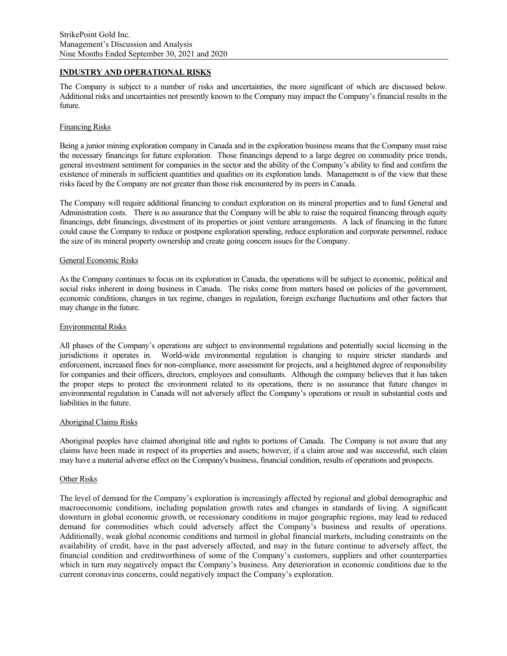# **INDUSTRY AND OPERATIONAL RISKS**

The Company is subject to a number of risks and uncertainties, the more significant of which are discussed below. Additional risks and uncertainties not presently known to the Company may impact the Company's financial results in the future.

#### Financing Risks

Being a junior mining exploration company in Canada and in the exploration business means that the Company must raise the necessary financings for future exploration. Those financings depend to a large degree on commodity price trends, general investment sentiment for companies in the sector and the ability of the Company's ability to find and confirm the existence of minerals in sufficient quantities and qualities on its exploration lands. Management is of the view that these risks faced by the Company are not greater than those risk encountered by its peers in Canada.

The Company will require additional financing to conduct exploration on its mineral properties and to fund General and Administration costs. There is no assurance that the Company will be able to raise the required financing through equity financings, debt financings, divestment of its properties or joint venture arrangements. A lack of financing in the future could cause the Company to reduce or postpone exploration spending, reduce exploration and corporate personnel, reduce the size of its mineral property ownership and create going concern issues for the Company.

### General Economic Risks

As the Company continues to focus on its exploration in Canada, the operations will be subject to economic, political and social risks inherent in doing business in Canada. The risks come from matters based on policies of the government, economic conditions, changes in tax regime, changes in regulation, foreign exchange fluctuations and other factors that may change in the future.

#### Environmental Risks

All phases of the Company's operations are subject to environmental regulations and potentially social licensing in the jurisdictions it operates in. World-wide environmental regulation is changing to require stricter standards and enforcement, increased fines for non-compliance, more assessment for projects, and a heightened degree of responsibility for companies and their officers, directors, employees and consultants. Although the company believes that it has taken the proper steps to protect the environment related to its operations, there is no assurance that future changes in environmental regulation in Canada will not adversely affect the Company's operations or result in substantial costs and liabilities in the future.

#### Aboriginal Claims Risks

Aboriginal peoples have claimed aboriginal title and rights to portions of Canada. The Company is not aware that any claims have been made in respect of its properties and assets; however, if a claim arose and was successful, such claim may have a material adverse effect on the Company's business, financial condition, results of operations and prospects.

#### Other Risks

The level of demand for the Company's exploration is increasingly affected by regional and global demographic and macroeconomic conditions, including population growth rates and changes in standards of living. A significant downturn in global economic growth, or recessionary conditions in major geographic regions, may lead to reduced demand for commodities which could adversely affect the Company's business and results of operations. Additionally, weak global economic conditions and turmoil in global financial markets, including constraints on the availability of credit, have in the past adversely affected, and may in the future continue to adversely affect, the financial condition and creditworthiness of some of the Company's customers, suppliers and other counterparties which in turn may negatively impact the Company's business. Any deterioration in economic conditions due to the current coronavirus concerns, could negatively impact the Company's exploration.